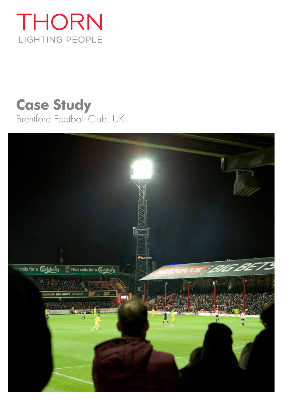# THORN LIGHTING PEOPLE

# **Case Study** Brentford Football Club, UK

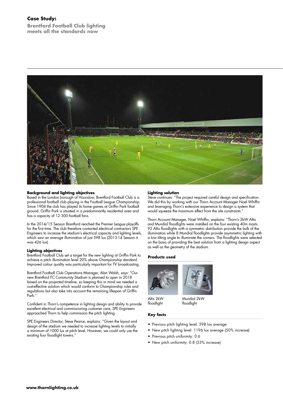# **Case Study:**

**Brentford Football Club lighting meets all the standards now**



#### **Background and lighting objectives**

Based in the London borough of Hounslow, Brentford Football Club is a professional football club playing in the Football League Championship. Since 1904 the club has played its home games at Griffin Park football ground. Griffin Park is situated in a predominantly residential area and has a capacity of 12 300 football fans.

In the 2014/15 Season Brentford reached the Premier League playoffs for the first time. The club therefore contacted electrical contractors SPE Engineers to increase the stadium's electrical capacity and lighting levels, which saw an average illumination of just 598 lux (2013-14 Season it was 426 lux).

#### **Lighting objectives**

Brentford Football Club set a target for the new lighting at Griffin Park to achieve a pitch illumination level 20% above Championship standard. Improved colour quality was particularly important for TV broadcasting.

Brentford Football Club Operations Manager, Alan Walsh, says: "Our new Brentford FC Community Stadium is planned to open in 2018 based on the projected timeline, so keeping this in mind we needed a cost-effective solution which would conform to Championship rules and regulations but also take into account the remaining lifespan of Griffin Park."

Confident in Thorn's competence in lighting design and ability to provide excellent electrical and commissioning customer care, SPE Engineers approached Thorn to help commission the pitch lighting.

SPE Engineers Director, Steve Pearce, explains: "Given the layout and design of the stadium we needed to increase lighting levels to initially a minimum of 1000 lux at pitch level. However, we could only use the existing four floodlight towers."

#### **Lighting solution**

Steve continues: "The project required careful design and specification. We did this by working with our Thorn Account Manager Noel Whiffin and leveraging Thorn's extensive experience to design a system that would squeeze the maximum effect from the site constraints."

Thorn Account Manager, Noel Whiffin, explains: "Thorn's 2kW Altis and Mundial floodlights were installed on the four existing 40m masts. 92 Altis floodlights with a symmetric distribution provide the bulk of the illumination while 8 Mundial floodlights provide asymmetric lighting with a low tilting angle to illuminate the corners. The floodlights were selected on the basis of providing the best solution from a lighting design aspect as well as the geometry of the stadium.

#### **Products used**





Mundial 2kW floodlight

### **Key facts**

Altis 2kW floodlight

- Previous pitch lighting level: 598 lux average
- New pitch lighting level: 1196 lux average (50% increase)
- Previous pitch uniformity: 0.6
- New pitch uniformity: 0.8 (33% increase)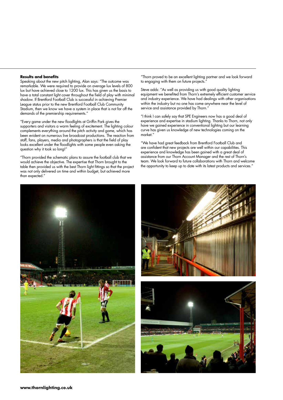#### **Results and benefits**

Speaking about the new pitch lighting, Alan says: "The outcome was remarkable. We were required to provide on average lux levels of 800 lux but have achieved close to 1200 lux. This has given us the basis to have a total constant light cover throughout the field of play with minimal shadow. If Brentford Football Club is successful in achieving Premier League status prior to the new Brentford Football Club Community Stadium, then we know we have a system in place that is not far off the demands of the premiership requirements."

"Every game under the new floodlights at Griffin Park gives the supporters and visitors a warm feeling of excitement. The lighting colour complements everything around the pitch activity and game, which has been evident on numerous live broadcast productions. The reaction from staff, fans, players, media and photographers is that the field of play looks excellent under the floodlights with some people even asking the question why it took so long!"

"Thorn provided the schematic plans to assure the football club that we would achieve the objective. The expertise that Thorn brought to the table then provided us with the best Thorn light fittings so that the project was not only delivered on time and within budget, but achieved more than expected."

"Thorn proved to be an excellent lighting partner and we look forward to engaging with them on future projects.

Steve adds: "As well as providing us with good quality lighting equipment we benefited from Thorn's extremely efficient customer service and industry experience. We have had dealings with other organisations within the industry but no one has come anywhere near the level of service and assistance provided by Thorn."

"I think I can safely say that SPE Engineers now has a good deal of experience and expertise in stadium lighting. Thanks to Thorn, not only have we gained experience in conventional lighting but our learning curve has given us knowledge of new technologies coming on the market."

"We have had great feedback from Brentford Football Club and are confident that new projects are well within our capabilities. This experience and knowledge has been gained with a great deal of assistance from our Thorn Account Manager and the rest of Thorn's team. We look forward to future collaborations with Thorn and welcome the opportunity to keep up to date with its latest products and services.